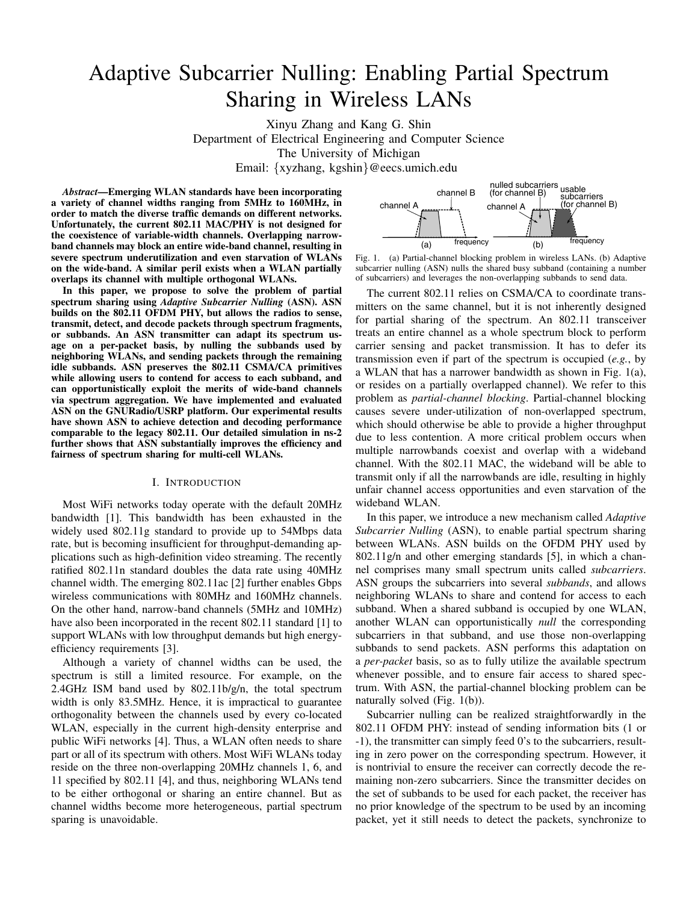# Adaptive Subcarrier Nulling: Enabling Partial Spectrum Sharing in Wireless LANs

Xinyu Zhang and Kang G. Shin Department of Electrical Engineering and Computer Science The University of Michigan Email: {xyzhang, kgshin}@eecs.umich.edu

*Abstract*—Emerging WLAN standards have been incorporating a variety of channel widths ranging from 5MHz to 160MHz, in order to match the diverse traffic demands on different networks. Unfortunately, the current 802.11 MAC/PHY is not designed for the coexistence of variable-width channels. Overlapping narrowband channels may block an entire wide-band channel, resulting in severe spectrum underutilization and even starvation of WLANs on the wide-band. A similar peril exists when a WLAN partially overlaps its channel with multiple orthogonal WLANs.

In this paper, we propose to solve the problem of partial spectrum sharing using *Adaptive Subcarrier Nulling* (ASN). ASN builds on the 802.11 OFDM PHY, but allows the radios to sense, transmit, detect, and decode packets through spectrum fragments, or subbands. An ASN transmitter can adapt its spectrum usage on a per-packet basis, by nulling the subbands used by neighboring WLANs, and sending packets through the remaining idle subbands. ASN preserves the 802.11 CSMA/CA primitives while allowing users to contend for access to each subband, and can opportunistically exploit the merits of wide-band channels via spectrum aggregation. We have implemented and evaluated ASN on the GNURadio/USRP platform. Our experimental results have shown ASN to achieve detection and decoding performance comparable to the legacy 802.11. Our detailed simulation in ns-2 further shows that ASN substantially improves the efficiency and fairness of spectrum sharing for multi-cell WLANs.

## I. INTRODUCTION

Most WiFi networks today operate with the default 20MHz bandwidth [1]. This bandwidth has been exhausted in the widely used 802.11g standard to provide up to 54Mbps data rate, but is becoming insufficient for throughput-demanding applications such as high-definition video streaming. The recently ratified 802.11n standard doubles the data rate using 40MHz channel width. The emerging 802.11ac [2] further enables Gbps wireless communications with 80MHz and 160MHz channels. On the other hand, narrow-band channels (5MHz and 10MHz) have also been incorporated in the recent 802.11 standard [1] to support WLANs with low throughput demands but high energyefficiency requirements [3].

Although a variety of channel widths can be used, the spectrum is still a limited resource. For example, on the 2.4GHz ISM band used by 802.11b/g/n, the total spectrum width is only 83.5MHz. Hence, it is impractical to guarantee orthogonality between the channels used by every co-located WLAN, especially in the current high-density enterprise and public WiFi networks [4]. Thus, a WLAN often needs to share part or all of its spectrum with others. Most WiFi WLANs today reside on the three non-overlapping 20MHz channels 1, 6, and 11 specified by 802.11 [4], and thus, neighboring WLANs tend to be either orthogonal or sharing an entire channel. But as channel widths become more heterogeneous, partial spectrum sparing is unavoidable.



Fig. 1. (a) Partial-channel blocking problem in wireless LANs. (b) Adaptive subcarrier nulling (ASN) nulls the shared busy subband (containing a number of subcarriers) and leverages the non-overlapping subbands to send data.

The current 802.11 relies on CSMA/CA to coordinate transmitters on the same channel, but it is not inherently designed for partial sharing of the spectrum. An 802.11 transceiver treats an entire channel as a whole spectrum block to perform carrier sensing and packet transmission. It has to defer its transmission even if part of the spectrum is occupied (*e.g.*, by a WLAN that has a narrower bandwidth as shown in Fig. 1(a), or resides on a partially overlapped channel). We refer to this problem as *partial-channel blocking*. Partial-channel blocking causes severe under-utilization of non-overlapped spectrum, which should otherwise be able to provide a higher throughput due to less contention. A more critical problem occurs when multiple narrowbands coexist and overlap with a wideband channel. With the 802.11 MAC, the wideband will be able to transmit only if all the narrowbands are idle, resulting in highly unfair channel access opportunities and even starvation of the wideband WLAN.

In this paper, we introduce a new mechanism called *Adaptive Subcarrier Nulling* (ASN), to enable partial spectrum sharing between WLANs. ASN builds on the OFDM PHY used by 802.11g/n and other emerging standards [5], in which a channel comprises many small spectrum units called *subcarriers*. ASN groups the subcarriers into several *subbands*, and allows neighboring WLANs to share and contend for access to each subband. When a shared subband is occupied by one WLAN, another WLAN can opportunistically *null* the corresponding subcarriers in that subband, and use those non-overlapping subbands to send packets. ASN performs this adaptation on a *per-packet* basis, so as to fully utilize the available spectrum whenever possible, and to ensure fair access to shared spectrum. With ASN, the partial-channel blocking problem can be naturally solved (Fig. 1(b)).

Subcarrier nulling can be realized straightforwardly in the 802.11 OFDM PHY: instead of sending information bits (1 or -1), the transmitter can simply feed 0's to the subcarriers, resulting in zero power on the corresponding spectrum. However, it is nontrivial to ensure the receiver can correctly decode the remaining non-zero subcarriers. Since the transmitter decides on the set of subbands to be used for each packet, the receiver has no prior knowledge of the spectrum to be used by an incoming packet, yet it still needs to detect the packets, synchronize to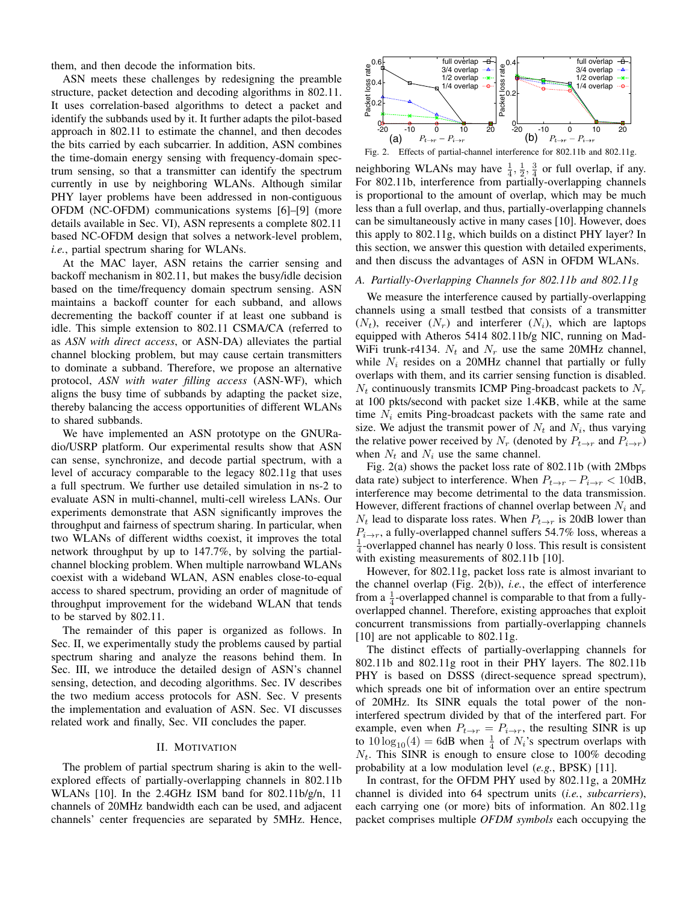them, and then decode the information bits.

ASN meets these challenges by redesigning the preamble structure, packet detection and decoding algorithms in 802.11. It uses correlation-based algorithms to detect a packet and identify the subbands used by it. It further adapts the pilot-based approach in 802.11 to estimate the channel, and then decodes the bits carried by each subcarrier. In addition, ASN combines the time-domain energy sensing with frequency-domain spectrum sensing, so that a transmitter can identify the spectrum currently in use by neighboring WLANs. Although similar PHY layer problems have been addressed in non-contiguous OFDM (NC-OFDM) communications systems [6]–[9] (more details available in Sec. VI), ASN represents a complete 802.11 based NC-OFDM design that solves a network-level problem, *i.e.*, partial spectrum sharing for WLANs.

At the MAC layer, ASN retains the carrier sensing and backoff mechanism in 802.11, but makes the busy/idle decision based on the time/frequency domain spectrum sensing. ASN maintains a backoff counter for each subband, and allows decrementing the backoff counter if at least one subband is idle. This simple extension to 802.11 CSMA/CA (referred to as *ASN with direct access*, or ASN-DA) alleviates the partial channel blocking problem, but may cause certain transmitters to dominate a subband. Therefore, we propose an alternative protocol, *ASN with water filling access* (ASN-WF), which aligns the busy time of subbands by adapting the packet size, thereby balancing the access opportunities of different WLANs to shared subbands.

We have implemented an ASN prototype on the GNURadio/USRP platform. Our experimental results show that ASN can sense, synchronize, and decode partial spectrum, with a level of accuracy comparable to the legacy 802.11g that uses a full spectrum. We further use detailed simulation in ns-2 to evaluate ASN in multi-channel, multi-cell wireless LANs. Our experiments demonstrate that ASN significantly improves the throughput and fairness of spectrum sharing. In particular, when two WLANs of different widths coexist, it improves the total network throughput by up to 147.7%, by solving the partialchannel blocking problem. When multiple narrowband WLANs coexist with a wideband WLAN, ASN enables close-to-equal access to shared spectrum, providing an order of magnitude of throughput improvement for the wideband WLAN that tends to be starved by 802.11.

The remainder of this paper is organized as follows. In Sec. II, we experimentally study the problems caused by partial spectrum sharing and analyze the reasons behind them. In Sec. III, we introduce the detailed design of ASN's channel sensing, detection, and decoding algorithms. Sec. IV describes the two medium access protocols for ASN. Sec. V presents the implementation and evaluation of ASN. Sec. VI discusses related work and finally, Sec. VII concludes the paper.

# II. MOTIVATION

The problem of partial spectrum sharing is akin to the wellexplored effects of partially-overlapping channels in 802.11b WLANs [10]. In the 2.4GHz ISM band for 802.11b/g/n, 11 channels of 20MHz bandwidth each can be used, and adjacent channels' center frequencies are separated by 5MHz. Hence,



Fig. 2. Effects of partial-channel interference for 802.11b and 802.11g.

neighboring WLANs may have  $\frac{1}{4}$ ,  $\frac{1}{2}$ ,  $\frac{3}{4}$  or full overlap, if any. For 802.11b, interference from partially-overlapping channels is proportional to the amount of overlap, which may be much less than a full overlap, and thus, partially-overlapping channels can be simultaneously active in many cases [10]. However, does this apply to 802.11g, which builds on a distinct PHY layer? In this section, we answer this question with detailed experiments, and then discuss the advantages of ASN in OFDM WLANs.

# *A. Partially-Overlapping Channels for 802.11b and 802.11g*

We measure the interference caused by partially-overlapping channels using a small testbed that consists of a transmitter  $(N_t)$ , receiver  $(N_r)$  and interferer  $(N_i)$ , which are laptops equipped with Atheros 5414 802.11b/g NIC, running on Mad-WiFi trunk-r4134.  $N_t$  and  $N_r$  use the same 20MHz channel, while  $N_i$  resides on a 20MHz channel that partially or fully overlaps with them, and its carrier sensing function is disabled.  $N_t$  continuously transmits ICMP Ping-broadcast packets to  $N_r$ at 100 pkts/second with packet size 1.4KB, while at the same time  $N_i$  emits Ping-broadcast packets with the same rate and size. We adjust the transmit power of  $N_t$  and  $N_i$ , thus varying the relative power received by  $N_r$  (denoted by  $P_{t\to r}$  and  $P_{i\to r}$ ) when  $N_t$  and  $N_i$  use the same channel.

Fig. 2(a) shows the packet loss rate of 802.11b (with 2Mbps data rate) subject to interference. When  $P_{t\rightarrow r} - P_{i\rightarrow r} < 10$ dB, interference may become detrimental to the data transmission. However, different fractions of channel overlap between  $N_i$  and  $N_t$  lead to disparate loss rates. When  $P_{t\rightarrow r}$  is 20dB lower than  $P_{i\rightarrow r}$ , a fully-overlapped channel suffers 54.7% loss, whereas a  $\frac{1}{4}$ -overlapped channel has nearly 0 loss. This result is consistent with existing measurements of 802.11b [10].

However, for 802.11g, packet loss rate is almost invariant to the channel overlap (Fig. 2(b)), *i.e.*, the effect of interference from a  $\frac{1}{4}$ -overlapped channel is comparable to that from a fullyoverlapped channel. Therefore, existing approaches that exploit concurrent transmissions from partially-overlapping channels [10] are not applicable to 802.11g.

The distinct effects of partially-overlapping channels for 802.11b and 802.11g root in their PHY layers. The 802.11b PHY is based on DSSS (direct-sequence spread spectrum), which spreads one bit of information over an entire spectrum of 20MHz. Its SINR equals the total power of the noninterfered spectrum divided by that of the interfered part. For example, even when  $P_{t\to r} = P_{i\to r}$ , the resulting SINR is up to  $10 \log_{10}(4) = 6$ dB when  $\frac{1}{4}$  of  $N_i$ 's spectrum overlaps with  $N_t$ . This SINR is enough to ensure close to 100% decoding probability at a low modulation level (*e.g.*, BPSK) [11].

In contrast, for the OFDM PHY used by 802.11g, a 20MHz channel is divided into 64 spectrum units (*i.e.*, *subcarriers*), each carrying one (or more) bits of information. An 802.11g packet comprises multiple *OFDM symbols* each occupying the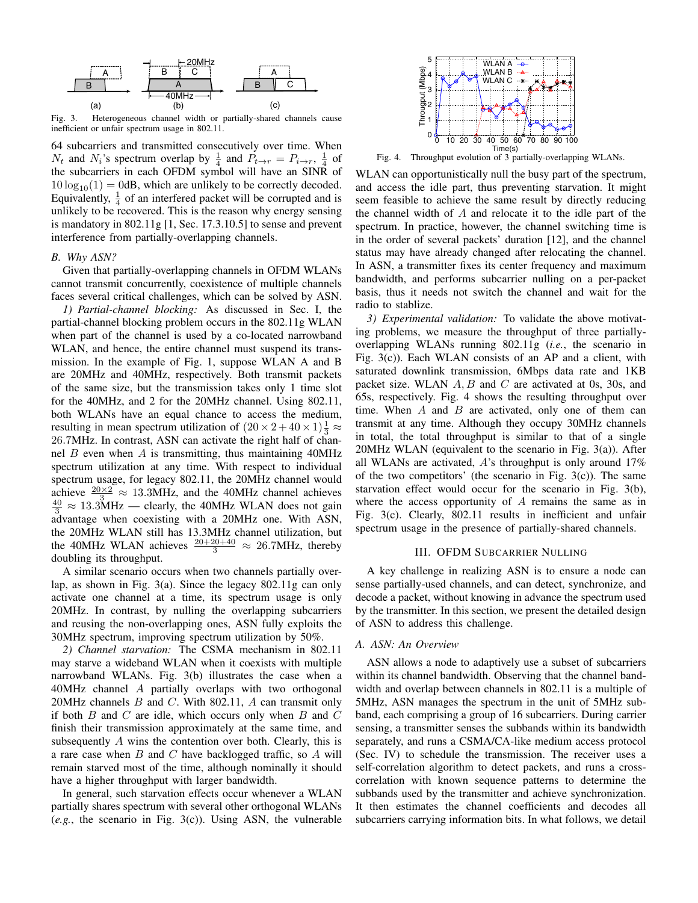

Fig. 3. Heterogeneous channel width or partially-shared channels cause inefficient or unfair spectrum usage in 802.11.

64 subcarriers and transmitted consecutively over time. When  $N_t$  and  $N_i$ 's spectrum overlap by  $\frac{1}{4}$  and  $P_{t\to r} = P_{i\to r}$ ,  $\frac{1}{4}$  of the subcarriers in each OFDM symbol will have an SINR of  $10 \log_{10}(1) = 0$ dB, which are unlikely to be correctly decoded. Equivalently,  $\frac{1}{4}$  of an interfered packet will be corrupted and is unlikely to be recovered. This is the reason why energy sensing is mandatory in 802.11g [1, Sec. 17.3.10.5] to sense and prevent interference from partially-overlapping channels.

# *B. Why ASN?*

Given that partially-overlapping channels in OFDM WLANs cannot transmit concurrently, coexistence of multiple channels faces several critical challenges, which can be solved by ASN.

*1) Partial-channel blocking:* As discussed in Sec. I, the partial-channel blocking problem occurs in the 802.11g WLAN when part of the channel is used by a co-located narrowband WLAN, and hence, the entire channel must suspend its transmission. In the example of Fig. 1, suppose WLAN A and B are 20MHz and 40MHz, respectively. Both transmit packets of the same size, but the transmission takes only 1 time slot for the 40MHz, and 2 for the 20MHz channel. Using 802.11, both WLANs have an equal chance to access the medium, resulting in mean spectrum utilization of  $(20 \times 2 + 40 \times 1)^{\frac{1}{3}} \approx$ 26.7MHz. In contrast, ASN can activate the right half of channel  $B$  even when  $A$  is transmitting, thus maintaining 40MHz spectrum utilization at any time. With respect to individual spectrum usage, for legacy 802.11, the 20MHz channel would achieve  $\frac{20\times2}{3} \approx 13.3 \text{MHz}$ , and the 40MHz channel achieves  $\frac{40}{3} \approx 13.3$ MHz — clearly, the 40MHz WLAN does not gain advantage when coexisting with a 20MHz one. With ASN, the 20MHz WLAN still has 13.3MHz channel utilization, but the 40MHz WLAN achieves  $\frac{20+20+40}{3} \approx 26.7$ MHz, thereby doubling its throughput.

A similar scenario occurs when two channels partially overlap, as shown in Fig. 3(a). Since the legacy 802.11g can only activate one channel at a time, its spectrum usage is only 20MHz. In contrast, by nulling the overlapping subcarriers and reusing the non-overlapping ones, ASN fully exploits the 30MHz spectrum, improving spectrum utilization by 50%.

*2) Channel starvation:* The CSMA mechanism in 802.11 may starve a wideband WLAN when it coexists with multiple narrowband WLANs. Fig. 3(b) illustrates the case when a 40MHz channel A partially overlaps with two orthogonal 20MHz channels  $B$  and  $C$ . With 802.11,  $A$  can transmit only if both  $B$  and  $C$  are idle, which occurs only when  $B$  and  $C$ finish their transmission approximately at the same time, and subsequently A wins the contention over both. Clearly, this is a rare case when  $B$  and  $C$  have backlogged traffic, so  $A$  will remain starved most of the time, although nominally it should have a higher throughput with larger bandwidth.

In general, such starvation effects occur whenever a WLAN partially shares spectrum with several other orthogonal WLANs (*e.g.*, the scenario in Fig. 3(c)). Using ASN, the vulnerable



Fig. 4. Throughput evolution of 3 partially-overlapping WLANs.

WLAN can opportunistically null the busy part of the spectrum, and access the idle part, thus preventing starvation. It might seem feasible to achieve the same result by directly reducing the channel width of A and relocate it to the idle part of the spectrum. In practice, however, the channel switching time is in the order of several packets' duration [12], and the channel status may have already changed after relocating the channel. In ASN, a transmitter fixes its center frequency and maximum bandwidth, and performs subcarrier nulling on a per-packet basis, thus it needs not switch the channel and wait for the radio to stablize.

*3) Experimental validation:* To validate the above motivating problems, we measure the throughput of three partiallyoverlapping WLANs running 802.11g (*i.e.*, the scenario in Fig. 3(c)). Each WLAN consists of an AP and a client, with saturated downlink transmission, 6Mbps data rate and 1KB packet size. WLAN  $A, B$  and  $C$  are activated at 0s, 30s, and 65s, respectively. Fig. 4 shows the resulting throughput over time. When  $A$  and  $B$  are activated, only one of them can transmit at any time. Although they occupy 30MHz channels in total, the total throughput is similar to that of a single 20MHz WLAN (equivalent to the scenario in Fig. 3(a)). After all WLANs are activated, A's throughput is only around 17% of the two competitors' (the scenario in Fig.  $3(c)$ ). The same starvation effect would occur for the scenario in Fig. 3(b), where the access opportunity of  $A$  remains the same as in Fig. 3(c). Clearly, 802.11 results in inefficient and unfair spectrum usage in the presence of partially-shared channels.

# III. OFDM SUBCARRIER NULLING

A key challenge in realizing ASN is to ensure a node can sense partially-used channels, and can detect, synchronize, and decode a packet, without knowing in advance the spectrum used by the transmitter. In this section, we present the detailed design of ASN to address this challenge.

# *A. ASN: An Overview*

ASN allows a node to adaptively use a subset of subcarriers within its channel bandwidth. Observing that the channel bandwidth and overlap between channels in 802.11 is a multiple of 5MHz, ASN manages the spectrum in the unit of 5MHz subband, each comprising a group of 16 subcarriers. During carrier sensing, a transmitter senses the subbands within its bandwidth separately, and runs a CSMA/CA-like medium access protocol (Sec. IV) to schedule the transmission. The receiver uses a self-correlation algorithm to detect packets, and runs a crosscorrelation with known sequence patterns to determine the subbands used by the transmitter and achieve synchronization. It then estimates the channel coefficients and decodes all subcarriers carrying information bits. In what follows, we detail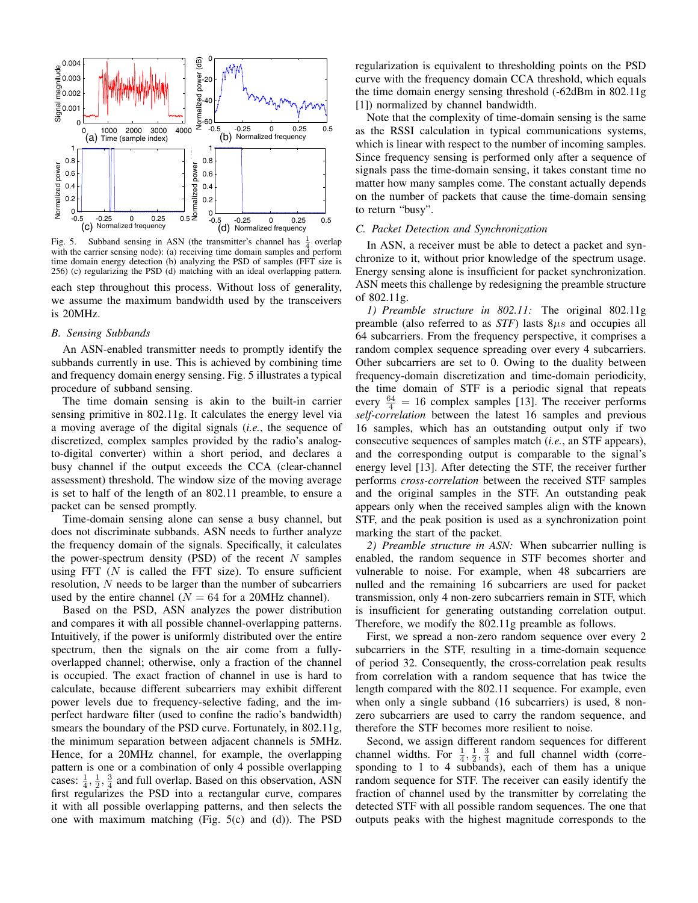

Fig. 5. Subband sensing in ASN (the transmitter's channel has  $\frac{1}{4}$  overlap with the carrier sensing node): (a) receiving time domain samples and perform time domain energy detection (b) analyzing the PSD of samples (FFT size is 256) (c) regularizing the PSD (d) matching with an ideal overlapping pattern.

each step throughout this process. Without loss of generality, we assume the maximum bandwidth used by the transceivers is 20MHz.

#### *B. Sensing Subbands*

An ASN-enabled transmitter needs to promptly identify the subbands currently in use. This is achieved by combining time and frequency domain energy sensing. Fig. 5 illustrates a typical procedure of subband sensing.

The time domain sensing is akin to the built-in carrier sensing primitive in 802.11g. It calculates the energy level via a moving average of the digital signals (*i.e.*, the sequence of discretized, complex samples provided by the radio's analogto-digital converter) within a short period, and declares a busy channel if the output exceeds the CCA (clear-channel assessment) threshold. The window size of the moving average is set to half of the length of an 802.11 preamble, to ensure a packet can be sensed promptly.

Time-domain sensing alone can sense a busy channel, but does not discriminate subbands. ASN needs to further analyze the frequency domain of the signals. Specifically, it calculates the power-spectrum density (PSD) of the recent  $N$  samples using FFT  $(N$  is called the FFT size). To ensure sufficient resolution, N needs to be larger than the number of subcarriers used by the entire channel ( $N = 64$  for a 20MHz channel).

Based on the PSD, ASN analyzes the power distribution and compares it with all possible channel-overlapping patterns. Intuitively, if the power is uniformly distributed over the entire spectrum, then the signals on the air come from a fullyoverlapped channel; otherwise, only a fraction of the channel is occupied. The exact fraction of channel in use is hard to calculate, because different subcarriers may exhibit different power levels due to frequency-selective fading, and the imperfect hardware filter (used to confine the radio's bandwidth) smears the boundary of the PSD curve. Fortunately, in 802.11g, the minimum separation between adjacent channels is 5MHz. Hence, for a 20MHz channel, for example, the overlapping pattern is one or a combination of only 4 possible overlapping cases:  $\frac{1}{4}$ ,  $\frac{1}{2}$ ,  $\frac{3}{4}$  and full overlap. Based on this observation, ASN first regularizes the PSD into a rectangular curve, compares it with all possible overlapping patterns, and then selects the one with maximum matching (Fig. 5(c) and (d)). The PSD regularization is equivalent to thresholding points on the PSD curve with the frequency domain CCA threshold, which equals the time domain energy sensing threshold (-62dBm in 802.11g [1]) normalized by channel bandwidth.

Note that the complexity of time-domain sensing is the same as the RSSI calculation in typical communications systems, which is linear with respect to the number of incoming samples. Since frequency sensing is performed only after a sequence of signals pass the time-domain sensing, it takes constant time no matter how many samples come. The constant actually depends on the number of packets that cause the time-domain sensing to return "busy".

## *C. Packet Detection and Synchronization*

In ASN, a receiver must be able to detect a packet and synchronize to it, without prior knowledge of the spectrum usage. Energy sensing alone is insufficient for packet synchronization. ASN meets this challenge by redesigning the preamble structure of 802.11g.

*1) Preamble structure in 802.11:* The original 802.11g preamble (also referred to as  $STF$ ) lasts  $8\mu s$  and occupies all 64 subcarriers. From the frequency perspective, it comprises a random complex sequence spreading over every 4 subcarriers. Other subcarriers are set to 0. Owing to the duality between frequency-domain discretization and time-domain periodicity, the time domain of STF is a periodic signal that repeats every  $\frac{64}{4}$  = 16 complex samples [13]. The receiver performs *self-correlation* between the latest 16 samples and previous 16 samples, which has an outstanding output only if two consecutive sequences of samples match (*i.e.*, an STF appears), and the corresponding output is comparable to the signal's energy level [13]. After detecting the STF, the receiver further performs *cross-correlation* between the received STF samples and the original samples in the STF. An outstanding peak appears only when the received samples align with the known STF, and the peak position is used as a synchronization point marking the start of the packet.

*2) Preamble structure in ASN:* When subcarrier nulling is enabled, the random sequence in STF becomes shorter and vulnerable to noise. For example, when 48 subcarriers are nulled and the remaining 16 subcarriers are used for packet transmission, only 4 non-zero subcarriers remain in STF, which is insufficient for generating outstanding correlation output. Therefore, we modify the 802.11g preamble as follows.

First, we spread a non-zero random sequence over every 2 subcarriers in the STF, resulting in a time-domain sequence of period 32. Consequently, the cross-correlation peak results from correlation with a random sequence that has twice the length compared with the 802.11 sequence. For example, even when only a single subband (16 subcarriers) is used, 8 nonzero subcarriers are used to carry the random sequence, and therefore the STF becomes more resilient to noise.

Second, we assign different random sequences for different channel widths. For  $\frac{1}{4}$ ,  $\frac{1}{2}$ ,  $\frac{3}{4}$  and full channel width (corresponding to 1 to 4 subbands), each of them has a unique random sequence for STF. The receiver can easily identify the fraction of channel used by the transmitter by correlating the detected STF with all possible random sequences. The one that outputs peaks with the highest magnitude corresponds to the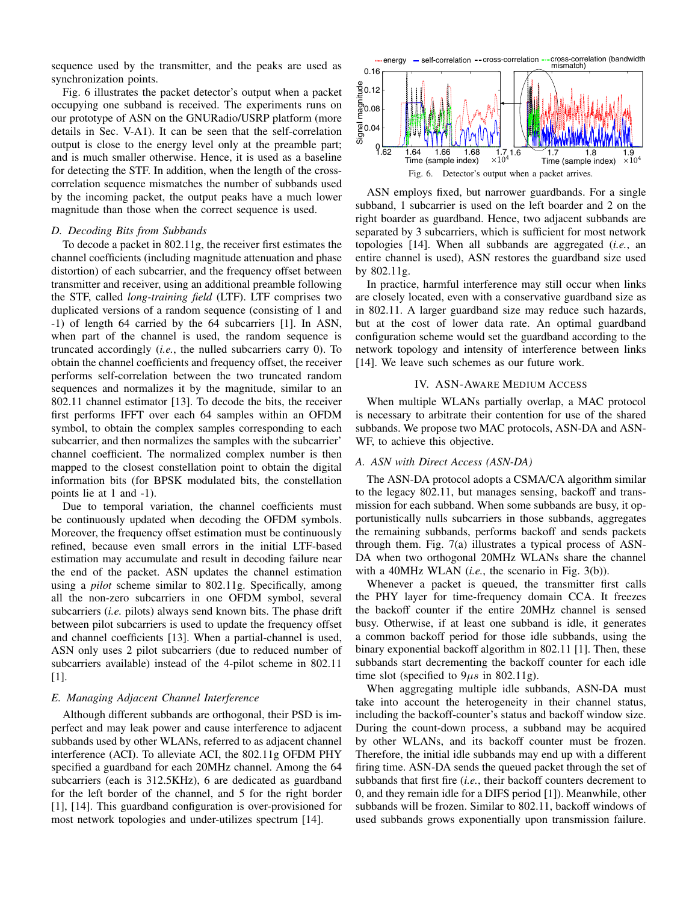sequence used by the transmitter, and the peaks are used as synchronization points.

Fig. 6 illustrates the packet detector's output when a packet occupying one subband is received. The experiments runs on our prototype of ASN on the GNURadio/USRP platform (more details in Sec. V-A1). It can be seen that the self-correlation output is close to the energy level only at the preamble part; and is much smaller otherwise. Hence, it is used as a baseline for detecting the STF. In addition, when the length of the crosscorrelation sequence mismatches the number of subbands used by the incoming packet, the output peaks have a much lower magnitude than those when the correct sequence is used.

#### *D. Decoding Bits from Subbands*

To decode a packet in 802.11g, the receiver first estimates the channel coefficients (including magnitude attenuation and phase distortion) of each subcarrier, and the frequency offset between transmitter and receiver, using an additional preamble following the STF, called *long-training field* (LTF). LTF comprises two duplicated versions of a random sequence (consisting of 1 and -1) of length 64 carried by the 64 subcarriers [1]. In ASN, when part of the channel is used, the random sequence is truncated accordingly (*i.e.*, the nulled subcarriers carry 0). To obtain the channel coefficients and frequency offset, the receiver performs self-correlation between the two truncated random sequences and normalizes it by the magnitude, similar to an 802.11 channel estimator [13]. To decode the bits, the receiver first performs IFFT over each 64 samples within an OFDM symbol, to obtain the complex samples corresponding to each subcarrier, and then normalizes the samples with the subcarrier' channel coefficient. The normalized complex number is then mapped to the closest constellation point to obtain the digital information bits (for BPSK modulated bits, the constellation points lie at 1 and -1).

Due to temporal variation, the channel coefficients must be continuously updated when decoding the OFDM symbols. Moreover, the frequency offset estimation must be continuously refined, because even small errors in the initial LTF-based estimation may accumulate and result in decoding failure near the end of the packet. ASN updates the channel estimation using a *pilot* scheme similar to 802.11g. Specifically, among all the non-zero subcarriers in one OFDM symbol, several subcarriers (*i.e.* pilots) always send known bits. The phase drift between pilot subcarriers is used to update the frequency offset and channel coefficients [13]. When a partial-channel is used, ASN only uses 2 pilot subcarriers (due to reduced number of subcarriers available) instead of the 4-pilot scheme in 802.11 [1].

#### *E. Managing Adjacent Channel Interference*

Although different subbands are orthogonal, their PSD is imperfect and may leak power and cause interference to adjacent subbands used by other WLANs, referred to as adjacent channel interference (ACI). To alleviate ACI, the 802.11g OFDM PHY specified a guardband for each 20MHz channel. Among the 64 subcarriers (each is 312.5KHz), 6 are dedicated as guardband for the left border of the channel, and 5 for the right border [1], [14]. This guardband configuration is over-provisioned for most network topologies and under-utilizes spectrum [14].



ASN employs fixed, but narrower guardbands. For a single subband, 1 subcarrier is used on the left boarder and 2 on the right boarder as guardband. Hence, two adjacent subbands are separated by 3 subcarriers, which is sufficient for most network topologies [14]. When all subbands are aggregated (*i.e.*, an entire channel is used), ASN restores the guardband size used by 802.11g.

In practice, harmful interference may still occur when links are closely located, even with a conservative guardband size as in 802.11. A larger guardband size may reduce such hazards, but at the cost of lower data rate. An optimal guardband configuration scheme would set the guardband according to the network topology and intensity of interference between links [14]. We leave such schemes as our future work.

#### IV. ASN-AWARE MEDIUM ACCESS

When multiple WLANs partially overlap, a MAC protocol is necessary to arbitrate their contention for use of the shared subbands. We propose two MAC protocols, ASN-DA and ASN-WF, to achieve this objective.

## *A. ASN with Direct Access (ASN-DA)*

The ASN-DA protocol adopts a CSMA/CA algorithm similar to the legacy 802.11, but manages sensing, backoff and transmission for each subband. When some subbands are busy, it opportunistically nulls subcarriers in those subbands, aggregates the remaining subbands, performs backoff and sends packets through them. Fig. 7(a) illustrates a typical process of ASN-DA when two orthogonal 20MHz WLANs share the channel with a 40MHz WLAN (*i.e.*, the scenario in Fig. 3(b)).

Whenever a packet is queued, the transmitter first calls the PHY layer for time-frequency domain CCA. It freezes the backoff counter if the entire 20MHz channel is sensed busy. Otherwise, if at least one subband is idle, it generates a common backoff period for those idle subbands, using the binary exponential backoff algorithm in 802.11 [1]. Then, these subbands start decrementing the backoff counter for each idle time slot (specified to  $9\mu s$  in 802.11g).

When aggregating multiple idle subbands, ASN-DA must take into account the heterogeneity in their channel status, including the backoff-counter's status and backoff window size. During the count-down process, a subband may be acquired by other WLANs, and its backoff counter must be frozen. Therefore, the initial idle subbands may end up with a different firing time. ASN-DA sends the queued packet through the set of subbands that first fire (*i.e.*, their backoff counters decrement to 0, and they remain idle for a DIFS period [1]). Meanwhile, other subbands will be frozen. Similar to 802.11, backoff windows of used subbands grows exponentially upon transmission failure.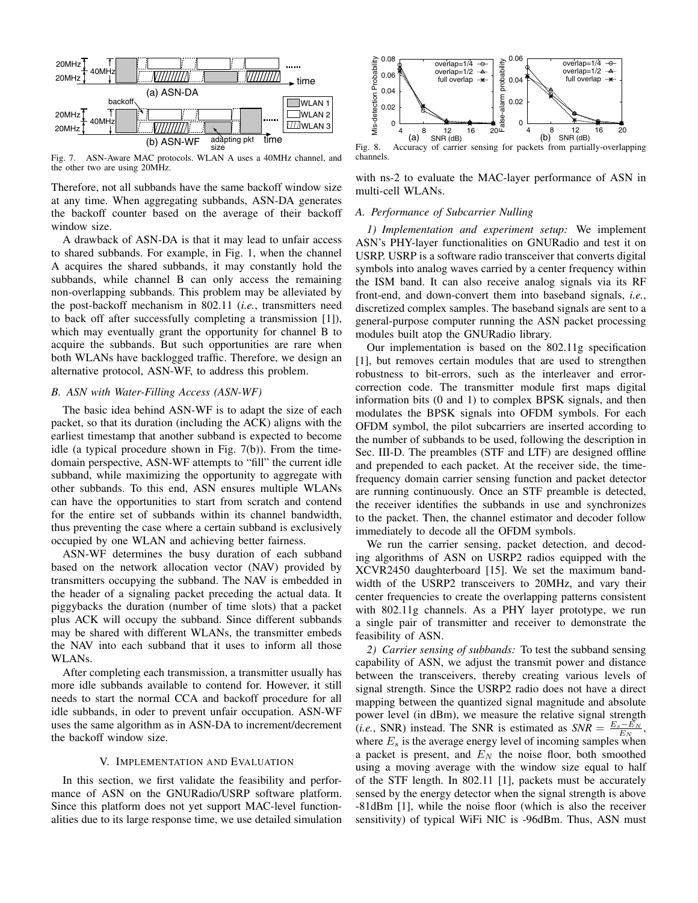

Fig. 7. ASN-Aware MAC protocols. WLAN A uses a 40MHz channel, and the other two are using 20MHz.

Therefore, not all subbands have the same backoff window size at any time. When aggregating subbands, ASN-DA generates the backoff counter based on the average of their backoff window size.

A drawback of ASN-DA is that it may lead to unfair access to shared subbands. For example, in Fig. 1, when the channel A acquires the shared subbands, it may constantly hold the subbands, while channel B can only access the remaining non-overlapping subbands. This problem may be alleviated by the post-backoff mechanism in 802.11 (*i.e.*, transmitters need to back off after successfully completing a transmission [1]), which may eventually grant the opportunity for channel B to acquire the subbands. But such opportunities are rare when both WLANs have backlogged traffic. Therefore, we design an alternative protocol, ASN-WF, to address this problem.

## *B. ASN with Water-Filling Access (ASN-WF)*

The basic idea behind ASN-WF is to adapt the size of each packet, so that its duration (including the ACK) aligns with the earliest timestamp that another subband is expected to become idle (a typical procedure shown in Fig. 7(b)). From the timedomain perspective, ASN-WF attempts to "fill" the current idle subband, while maximizing the opportunity to aggregate with other subbands. To this end, ASN ensures multiple WLANs can have the opportunities to start from scratch and contend for the entire set of subbands within its channel bandwidth, thus preventing the case where a certain subband is exclusively occupied by one WLAN and achieving better fairness.

ASN-WF determines the busy duration of each subband based on the network allocation vector (NAV) provided by transmitters occupying the subband. The NAV is embedded in the header of a signaling packet preceding the actual data. It piggybacks the duration (number of time slots) that a packet plus ACK will occupy the subband. Since different subbands may be shared with different WLANs, the transmitter embeds the NAV into each subband that it uses to inform all those WLANs.

After completing each transmission, a transmitter usually has more idle subbands available to contend for. However, it still needs to start the normal CCA and backoff procedure for all idle subbands, in oder to prevent unfair occupation. ASN-WF uses the same algorithm as in ASN-DA to increment/decrement the backoff window size.

#### V. IMPLEMENTATION AND EVALUATION

In this section, we first validate the feasibility and performance of ASN on the GNURadio/USRP software platform. Since this platform does not yet support MAC-level functionalities due to its large response time, we use detailed simulation



channels.

with ns-2 to evaluate the MAC-layer performance of ASN in multi-cell WLANs.

# *A. Performance of Subcarrier Nulling*

*1) Implementation and experiment setup:* We implement ASN's PHY-layer functionalities on GNURadio and test it on USRP. USRP is a software radio transceiver that converts digital symbols into analog waves carried by a center frequency within the ISM band. It can also receive analog signals via its RF front-end, and down-convert them into baseband signals, *i.e.*, discretized complex samples. The baseband signals are sent to a general-purpose computer running the ASN packet processing modules built atop the GNURadio library.

Our implementation is based on the 802.11g specification [1], but removes certain modules that are used to strengthen robustness to bit-errors, such as the interleaver and errorcorrection code. The transmitter module first maps digital information bits (0 and 1) to complex BPSK signals, and then modulates the BPSK signals into OFDM symbols. For each OFDM symbol, the pilot subcarriers are inserted according to the number of subbands to be used, following the description in Sec. III-D. The preambles (STF and LTF) are designed offline and prepended to each packet. At the receiver side, the timefrequency domain carrier sensing function and packet detector are running continuously. Once an STF preamble is detected, the receiver identifies the subbands in use and synchronizes to the packet. Then, the channel estimator and decoder follow immediately to decode all the OFDM symbols.

We run the carrier sensing, packet detection, and decoding algorithms of ASN on USRP2 radios equipped with the XCVR2450 daughterboard [15]. We set the maximum bandwidth of the USRP2 transceivers to 20MHz, and vary their center frequencies to create the overlapping patterns consistent with 802.11g channels. As a PHY layer prototype, we run a single pair of transmitter and receiver to demonstrate the feasibility of ASN.

*2) Carrier sensing of subbands:* To test the subband sensing capability of ASN, we adjust the transmit power and distance between the transceivers, thereby creating various levels of signal strength. Since the USRP2 radio does not have a direct mapping between the quantized signal magnitude and absolute power level (in dBm), we measure the relative signal strength (*i.e.*, SNR) instead. The SNR is estimated as  $SNR = \frac{E_s - \bar{E_N}}{E_N}$ , where  $E_s$  is the average energy level of incoming samples when a packet is present, and  $E<sub>N</sub>$  the noise floor, both smoothed using a moving average with the window size equal to half of the STF length. In 802.11 [1], packets must be accurately sensed by the energy detector when the signal strength is above -81dBm [1], while the noise floor (which is also the receiver sensitivity) of typical WiFi NIC is -96dBm. Thus, ASN must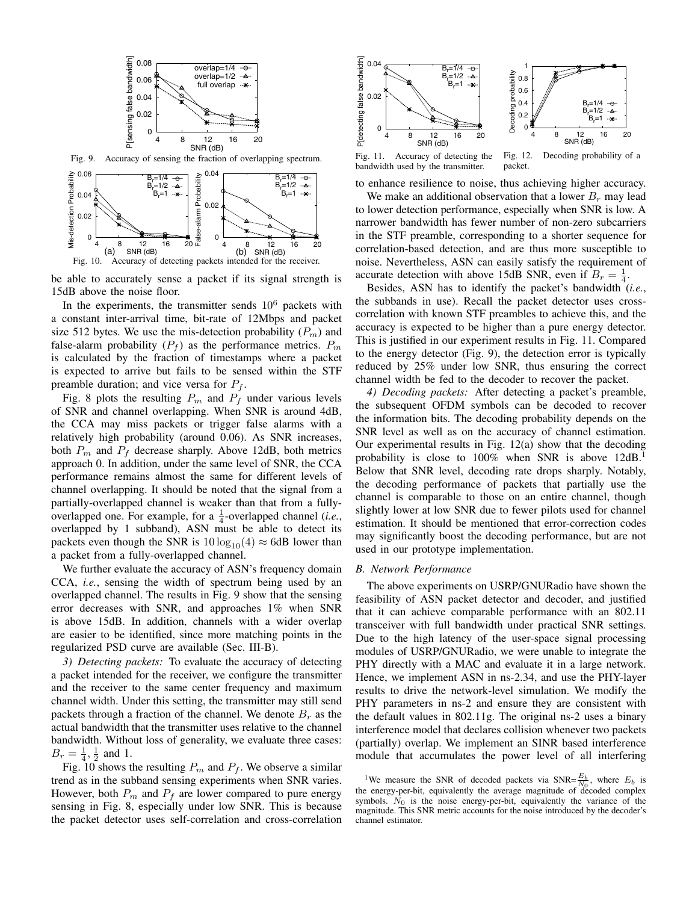

be able to accurately sense a packet if its signal strength is 15dB above the noise floor.

In the experiments, the transmitter sends  $10^6$  packets with a constant inter-arrival time, bit-rate of 12Mbps and packet size 512 bytes. We use the mis-detection probability  $(P_m)$  and false-alarm probability  $(P_f)$  as the performance metrics.  $P_m$ is calculated by the fraction of timestamps where a packet is expected to arrive but fails to be sensed within the STF preamble duration; and vice versa for  $P_f$ .

Fig. 8 plots the resulting  $P_m$  and  $P_f$  under various levels of SNR and channel overlapping. When SNR is around 4dB, the CCA may miss packets or trigger false alarms with a relatively high probability (around 0.06). As SNR increases, both  $P_m$  and  $P_f$  decrease sharply. Above 12dB, both metrics approach 0. In addition, under the same level of SNR, the CCA performance remains almost the same for different levels of channel overlapping. It should be noted that the signal from a partially-overlapped channel is weaker than that from a fullyoverlapped one. For example, for a  $\frac{1}{4}$ -overlapped channel (*i.e.*, overlapped by 1 subband), ASN must be able to detect its packets even though the SNR is  $10 \log_{10}(4) \approx 6$ dB lower than a packet from a fully-overlapped channel.

We further evaluate the accuracy of ASN's frequency domain CCA, *i.e.*, sensing the width of spectrum being used by an overlapped channel. The results in Fig. 9 show that the sensing error decreases with SNR, and approaches 1% when SNR is above 15dB. In addition, channels with a wider overlap are easier to be identified, since more matching points in the regularized PSD curve are available (Sec. III-B).

*3) Detecting packets:* To evaluate the accuracy of detecting a packet intended for the receiver, we configure the transmitter and the receiver to the same center frequency and maximum channel width. Under this setting, the transmitter may still send packets through a fraction of the channel. We denote  $B_r$  as the actual bandwidth that the transmitter uses relative to the channel bandwidth. Without loss of generality, we evaluate three cases:  $B_r = \frac{1}{4}, \frac{1}{2}$  and 1.

Fig. 10 shows the resulting  $P_m$  and  $P_f$ . We observe a similar trend as in the subband sensing experiments when SNR varies. However, both  $P_m$  and  $P_f$  are lower compared to pure energy sensing in Fig. 8, especially under low SNR. This is because the packet detector uses self-correlation and cross-correlation



bandwidth used by the transmitter.

Fig. 12. Decoding probability of a packet.

 $\mathsf{B}_{\mathsf{r}}$ =1/4 B<sub>r</sub>=1/2<br>B<sub>r</sub>=1  $=1/2$ 

⊸∡

to enhance resilience to noise, thus achieving higher accuracy.

We make an additional observation that a lower  $B_r$  may lead to lower detection performance, especially when SNR is low. A narrower bandwidth has fewer number of non-zero subcarriers in the STF preamble, corresponding to a shorter sequence for correlation-based detection, and are thus more susceptible to noise. Nevertheless, ASN can easily satisfy the requirement of accurate detection with above 15dB SNR, even if  $B_r = \frac{1}{4}$ .

Besides, ASN has to identify the packet's bandwidth (*i.e.*, the subbands in use). Recall the packet detector uses crosscorrelation with known STF preambles to achieve this, and the accuracy is expected to be higher than a pure energy detector. This is justified in our experiment results in Fig. 11. Compared to the energy detector (Fig. 9), the detection error is typically reduced by 25% under low SNR, thus ensuring the correct channel width be fed to the decoder to recover the packet.

*4) Decoding packets:* After detecting a packet's preamble, the subsequent OFDM symbols can be decoded to recover the information bits. The decoding probability depends on the SNR level as well as on the accuracy of channel estimation. Our experimental results in Fig.  $12(a)$  show that the decoding probability is close to 100% when SNR is above 12dB.<sup>1</sup> Below that SNR level, decoding rate drops sharply. Notably, the decoding performance of packets that partially use the channel is comparable to those on an entire channel, though slightly lower at low SNR due to fewer pilots used for channel estimation. It should be mentioned that error-correction codes may significantly boost the decoding performance, but are not used in our prototype implementation.

# *B. Network Performance*

The above experiments on USRP/GNURadio have shown the feasibility of ASN packet detector and decoder, and justified that it can achieve comparable performance with an 802.11 transceiver with full bandwidth under practical SNR settings. Due to the high latency of the user-space signal processing modules of USRP/GNURadio, we were unable to integrate the PHY directly with a MAC and evaluate it in a large network. Hence, we implement ASN in ns-2.34, and use the PHY-layer results to drive the network-level simulation. We modify the PHY parameters in ns-2 and ensure they are consistent with the default values in 802.11g. The original ns-2 uses a binary interference model that declares collision whenever two packets (partially) overlap. We implement an SINR based interference module that accumulates the power level of all interfering

<sup>&</sup>lt;sup>1</sup>We measure the SNR of decoded packets via SNR= $\frac{E_b}{N_0}$ , where  $E_b$  is the energy-per-bit, equivalently the average magnitude of decoded complex<br>the energy-per-bit, equivalently the average magnitude of decoded complex symbols.  $N_0$  is the noise energy-per-bit, equivalently the variance of the magnitude. This SNR metric accounts for the noise introduced by the decoder's channel estimator.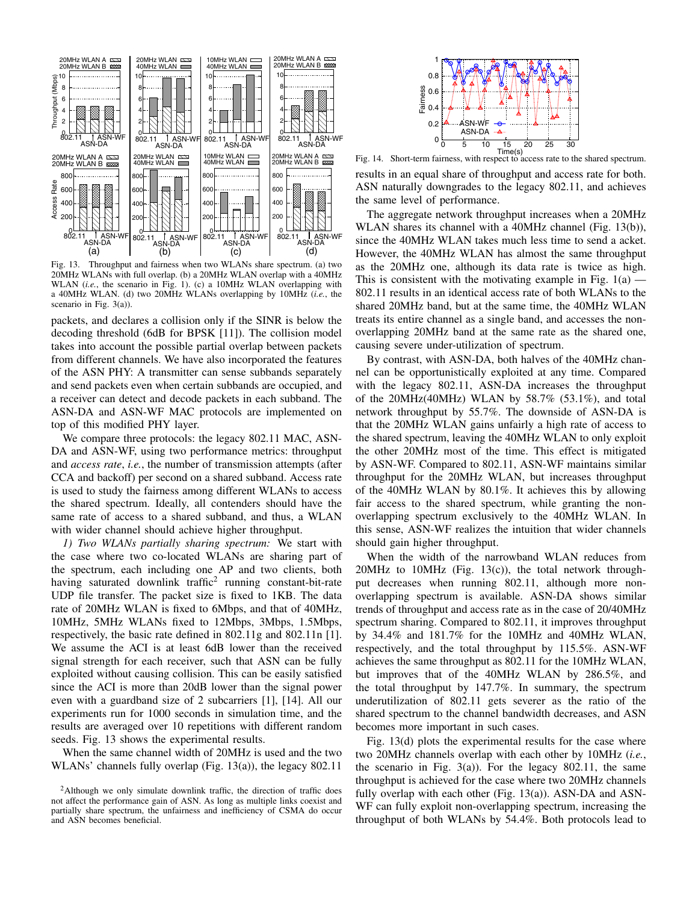

Fig. 13. Throughput and fairness when two WLANs share spectrum. (a) two 20MHz WLANs with full overlap. (b) a 20MHz WLAN overlap with a 40MHz WLAN (*i.e.*, the scenario in Fig. 1). (c) a 10MHz WLAN overlapping with a 40MHz WLAN. (d) two 20MHz WLANs overlapping by 10MHz (*i.e.*, the scenario in Fig. 3(a)).

packets, and declares a collision only if the SINR is below the decoding threshold (6dB for BPSK [11]). The collision model takes into account the possible partial overlap between packets from different channels. We have also incorporated the features of the ASN PHY: A transmitter can sense subbands separately and send packets even when certain subbands are occupied, and a receiver can detect and decode packets in each subband. The ASN-DA and ASN-WF MAC protocols are implemented on top of this modified PHY layer.

We compare three protocols: the legacy 802.11 MAC, ASN-DA and ASN-WF, using two performance metrics: throughput and *access rate*, *i.e.*, the number of transmission attempts (after CCA and backoff) per second on a shared subband. Access rate is used to study the fairness among different WLANs to access the shared spectrum. Ideally, all contenders should have the same rate of access to a shared subband, and thus, a WLAN with wider channel should achieve higher throughput.

*1) Two WLANs partially sharing spectrum:* We start with the case where two co-located WLANs are sharing part of the spectrum, each including one AP and two clients, both having saturated downlink traffic<sup>2</sup> running constant-bit-rate UDP file transfer. The packet size is fixed to 1KB. The data rate of 20MHz WLAN is fixed to 6Mbps, and that of 40MHz, 10MHz, 5MHz WLANs fixed to 12Mbps, 3Mbps, 1.5Mbps, respectively, the basic rate defined in 802.11g and 802.11n [1]. We assume the ACI is at least 6dB lower than the received signal strength for each receiver, such that ASN can be fully exploited without causing collision. This can be easily satisfied since the ACI is more than 20dB lower than the signal power even with a guardband size of 2 subcarriers [1], [14]. All our experiments run for 1000 seconds in simulation time, and the results are averaged over 10 repetitions with different random seeds. Fig. 13 shows the experimental results.

When the same channel width of 20MHz is used and the two WLANs' channels fully overlap (Fig. 13(a)), the legacy 802.11



Fig. 14. Short-term fairness, with respect to access rate to the shared spectrum. results in an equal share of throughput and access rate for both. ASN naturally downgrades to the legacy 802.11, and achieves the same level of performance.

The aggregate network throughput increases when a 20MHz WLAN shares its channel with a 40MHz channel (Fig. 13(b)), since the 40MHz WLAN takes much less time to send a acket. However, the 40MHz WLAN has almost the same throughput as the 20MHz one, although its data rate is twice as high. This is consistent with the motivating example in Fig.  $1(a)$  – 802.11 results in an identical access rate of both WLANs to the shared 20MHz band, but at the same time, the 40MHz WLAN treats its entire channel as a single band, and accesses the nonoverlapping 20MHz band at the same rate as the shared one, causing severe under-utilization of spectrum.

By contrast, with ASN-DA, both halves of the 40MHz channel can be opportunistically exploited at any time. Compared with the legacy 802.11, ASN-DA increases the throughput of the 20MHz(40MHz) WLAN by  $58.7\%$  (53.1%), and total network throughput by 55.7%. The downside of ASN-DA is that the 20MHz WLAN gains unfairly a high rate of access to the shared spectrum, leaving the 40MHz WLAN to only exploit the other 20MHz most of the time. This effect is mitigated by ASN-WF. Compared to 802.11, ASN-WF maintains similar throughput for the 20MHz WLAN, but increases throughput of the 40MHz WLAN by 80.1%. It achieves this by allowing fair access to the shared spectrum, while granting the nonoverlapping spectrum exclusively to the 40MHz WLAN. In this sense, ASN-WF realizes the intuition that wider channels should gain higher throughput.

When the width of the narrowband WLAN reduces from  $20MHz$  to  $10MHz$  (Fig.  $13(c)$ ), the total network throughput decreases when running 802.11, although more nonoverlapping spectrum is available. ASN-DA shows similar trends of throughput and access rate as in the case of 20/40MHz spectrum sharing. Compared to 802.11, it improves throughput by 34.4% and 181.7% for the 10MHz and 40MHz WLAN, respectively, and the total throughput by 115.5%. ASN-WF achieves the same throughput as 802.11 for the 10MHz WLAN, but improves that of the 40MHz WLAN by 286.5%, and the total throughput by 147.7%. In summary, the spectrum underutilization of 802.11 gets severer as the ratio of the shared spectrum to the channel bandwidth decreases, and ASN becomes more important in such cases.

Fig. 13(d) plots the experimental results for the case where two 20MHz channels overlap with each other by 10MHz (*i.e.*, the scenario in Fig.  $3(a)$ ). For the legacy 802.11, the same throughput is achieved for the case where two 20MHz channels fully overlap with each other (Fig. 13(a)). ASN-DA and ASN-WF can fully exploit non-overlapping spectrum, increasing the throughput of both WLANs by 54.4%. Both protocols lead to

 $2$ Although we only simulate downlink traffic, the direction of traffic does not affect the performance gain of ASN. As long as multiple links coexist and partially share spectrum, the unfairness and inefficiency of CSMA do occur and ASN becomes beneficial.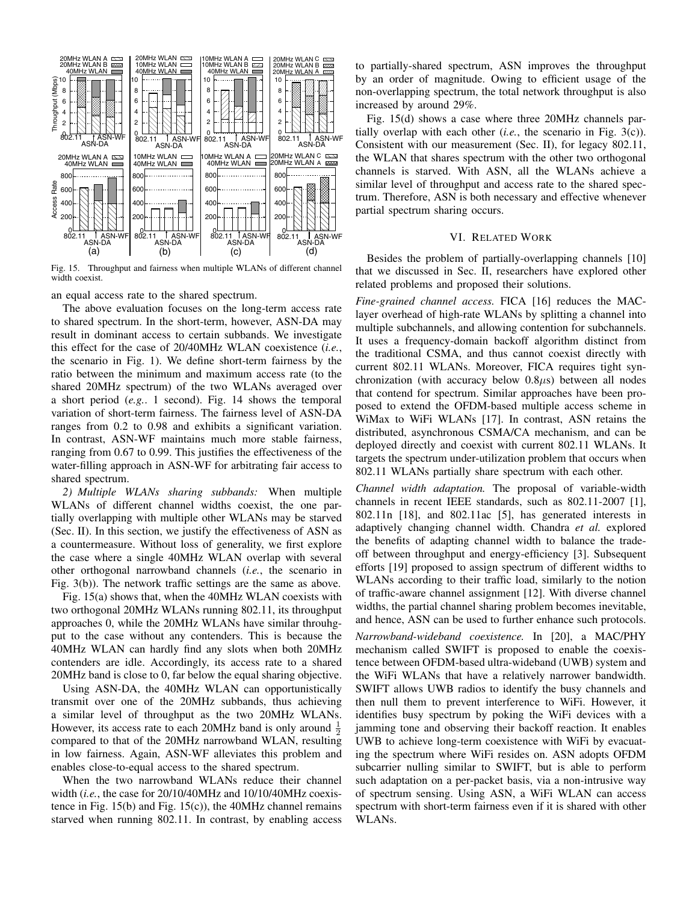

Fig. 15. Throughput and fairness when multiple WLANs of different channel width coexist.

an equal access rate to the shared spectrum.

The above evaluation focuses on the long-term access rate to shared spectrum. In the short-term, however, ASN-DA may result in dominant access to certain subbands. We investigate this effect for the case of 20/40MHz WLAN coexistence (*i.e.*, the scenario in Fig. 1). We define short-term fairness by the ratio between the minimum and maximum access rate (to the shared 20MHz spectrum) of the two WLANs averaged over a short period (*e.g.*. 1 second). Fig. 14 shows the temporal variation of short-term fairness. The fairness level of ASN-DA ranges from 0.2 to 0.98 and exhibits a significant variation. In contrast, ASN-WF maintains much more stable fairness, ranging from 0.67 to 0.99. This justifies the effectiveness of the water-filling approach in ASN-WF for arbitrating fair access to shared spectrum.

*2) Multiple WLANs sharing subbands:* When multiple WLANs of different channel widths coexist, the one partially overlapping with multiple other WLANs may be starved (Sec. II). In this section, we justify the effectiveness of ASN as a countermeasure. Without loss of generality, we first explore the case where a single 40MHz WLAN overlap with several other orthogonal narrowband channels (*i.e.*, the scenario in Fig. 3(b)). The network traffic settings are the same as above.

Fig. 15(a) shows that, when the 40MHz WLAN coexists with two orthogonal 20MHz WLANs running 802.11, its throughput approaches 0, while the 20MHz WLANs have similar throuhgput to the case without any contenders. This is because the 40MHz WLAN can hardly find any slots when both 20MHz contenders are idle. Accordingly, its access rate to a shared 20MHz band is close to 0, far below the equal sharing objective.

Using ASN-DA, the 40MHz WLAN can opportunistically transmit over one of the 20MHz subbands, thus achieving a similar level of throughput as the two 20MHz WLANs. However, its access rate to each 20MHz band is only around  $\frac{1}{2}$ compared to that of the 20MHz narrowband WLAN, resulting in low fairness. Again, ASN-WF alleviates this problem and enables close-to-equal access to the shared spectrum.

When the two narrowband WLANs reduce their channel width (*i.e.*, the case for 20/10/40MHz and 10/10/40MHz coexistence in Fig. 15(b) and Fig. 15(c)), the 40MHz channel remains starved when running 802.11. In contrast, by enabling access to partially-shared spectrum, ASN improves the throughput by an order of magnitude. Owing to efficient usage of the non-overlapping spectrum, the total network throughput is also increased by around 29%.

Fig. 15(d) shows a case where three 20MHz channels partially overlap with each other (*i.e.*, the scenario in Fig. 3(c)). Consistent with our measurement (Sec. II), for legacy 802.11, the WLAN that shares spectrum with the other two orthogonal channels is starved. With ASN, all the WLANs achieve a similar level of throughput and access rate to the shared spectrum. Therefore, ASN is both necessary and effective whenever partial spectrum sharing occurs.

## VI. RELATED WORK

Besides the problem of partially-overlapping channels [10] that we discussed in Sec. II, researchers have explored other related problems and proposed their solutions.

*Fine-grained channel access.* FICA [16] reduces the MAClayer overhead of high-rate WLANs by splitting a channel into multiple subchannels, and allowing contention for subchannels. It uses a frequency-domain backoff algorithm distinct from the traditional CSMA, and thus cannot coexist directly with current 802.11 WLANs. Moreover, FICA requires tight synchronization (with accuracy below  $0.8\mu s$ ) between all nodes that contend for spectrum. Similar approaches have been proposed to extend the OFDM-based multiple access scheme in WiMax to WiFi WLANs [17]. In contrast, ASN retains the distributed, asynchronous CSMA/CA mechanism, and can be deployed directly and coexist with current 802.11 WLANs. It targets the spectrum under-utilization problem that occurs when 802.11 WLANs partially share spectrum with each other.

*Channel width adaptation.* The proposal of variable-width channels in recent IEEE standards, such as 802.11-2007 [1], 802.11n [18], and 802.11ac [5], has generated interests in adaptively changing channel width. Chandra *et al.* explored the benefits of adapting channel width to balance the tradeoff between throughput and energy-efficiency [3]. Subsequent efforts [19] proposed to assign spectrum of different widths to WLANs according to their traffic load, similarly to the notion of traffic-aware channel assignment [12]. With diverse channel widths, the partial channel sharing problem becomes inevitable, and hence, ASN can be used to further enhance such protocols.

*Narrowband-wideband coexistence.* In [20], a MAC/PHY mechanism called SWIFT is proposed to enable the coexistence between OFDM-based ultra-wideband (UWB) system and the WiFi WLANs that have a relatively narrower bandwidth. SWIFT allows UWB radios to identify the busy channels and then null them to prevent interference to WiFi. However, it identifies busy spectrum by poking the WiFi devices with a jamming tone and observing their backoff reaction. It enables UWB to achieve long-term coexistence with WiFi by evacuating the spectrum where WiFi resides on. ASN adopts OFDM subcarrier nulling similar to SWIFT, but is able to perform such adaptation on a per-packet basis, via a non-intrusive way of spectrum sensing. Using ASN, a WiFi WLAN can access spectrum with short-term fairness even if it is shared with other WLANs.